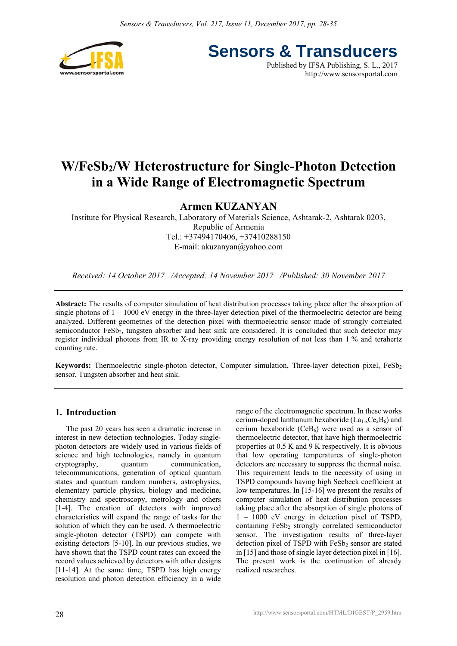

**Sensors & Transducers** Published by IFSA Publishing, S. L., 2017

http://www.sensorsportal.com

# **W/FeSb2/W Heterostructure for Single-Photon Detection in a Wide Range of Electromagnetic Spectrum**

# **Armen KUZANYAN**

Institute for Physical Research, Laboratory of Materials Science, Ashtarak-2, Ashtarak 0203, Republic of Armenia Tel.: +37494170406, +37410288150 E-mail: akuzanyan@yahoo.com

*Received: 14 October 2017 /Accepted: 14 November 2017 /Published: 30 November 2017* 

**Abstract:** The results of computer simulation of heat distribution processes taking place after the absorption of single photons of  $1 - 1000$  eV energy in the three-layer detection pixel of the thermoelectric detector are being analyzed. Different geometries of the detection pixel with thermoelectric sensor made of strongly correlated semiconductor FeSb<sub>2</sub>, tungsten absorber and heat sink are considered. It is concluded that such detector may register individual photons from IR to X-ray providing energy resolution of not less than 1 % and terahertz counting rate.

**Keywords:** Thermoelectric single-photon detector, Computer simulation, Three-layer detection pixel, FeSb<sub>2</sub> sensor, Tungsten absorber and heat sink.

# **1. Introduction**

The past 20 years has seen a dramatic increase in interest in new detection technologies. Today singlephoton detectors are widely used in various fields of science and high technologies, namely in quantum cryptography, quantum communication, telecommunications, generation of optical quantum states and quantum random numbers, astrophysics, elementary particle physics, biology and medicine, chemistry and spectroscopy, metrology and others [1-4]. The creation of detectors with improved characteristics will expand the range of tasks for the solution of which they can be used. A thermoelectric single-photon detector (TSPD) can compete with existing detectors [5-10]. In our previous studies, we have shown that the TSPD count rates can exceed the record values achieved by detectors with other designs [11-14]. At the same time, TSPD has high energy resolution and photon detection efficiency in a wide range of the electromagnetic spectrum. In these works cerium-doped lanthanum hexaboride  $(La_{1-x}Ce_xB_6)$  and cerium hexaboride  $(CeB<sub>6</sub>)$  were used as a sensor of thermoelectric detector, that have high thermoelectric properties at 0.5 K and 9 K respectively. It is obvious that low operating temperatures of single-photon detectors are necessary to suppress the thermal noise. This requirement leads to the necessity of using in TSPD compounds having high Seebeck coefficient at low temperatures. In [15-16] we present the results of computer simulation of heat distribution processes taking place after the absorption of single photons of 1 – 1000 eV energy in detection pixel of TSPD, containing  $FeSb<sub>2</sub>$  strongly correlated semiconductor sensor. The investigation results of three-layer detection pixel of TSPD with FeSb<sub>2</sub> sensor are stated in [15] and those of single layer detection pixel in [16]. The present work is the continuation of already realized researches.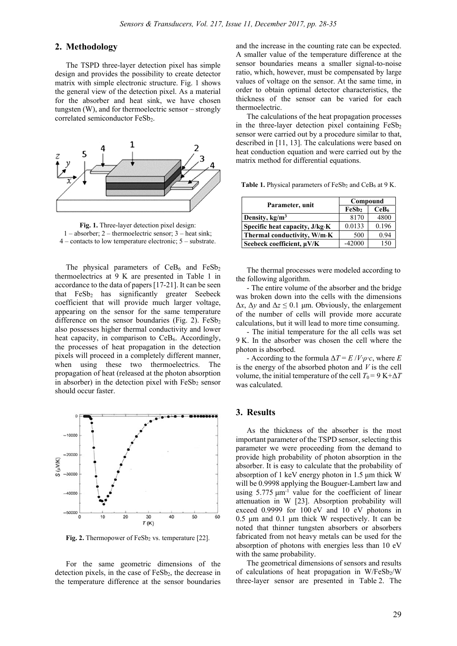### **2. Methodology**

The TSPD three-layer detection pixel has simple design and provides the possibility to create detector matrix with simple electronic structure. Fig. 1 shows the general view of the detection pixel. As a material for the absorber and heat sink, we have chosen tungsten (W), and for thermoelectric sensor – strongly correlated semiconductor FeSb<sub>2</sub>.



**Fig. 1.** Three-layer detection pixel design: 1 – absorber; 2 – thermoelectric sensor; 3 – heat sink; 4 – contacts to low temperature electronic; 5 – substrate.

The physical parameters of  $CeB<sub>6</sub>$  and  $FeSb<sub>2</sub>$ thermoelectrics at 9 K are presented in Table 1 in accordance to the data of papers [17-21]. It can be seen that FeSb<sub>2</sub> has significantly greater Seebeck coefficient that will provide much larger voltage, appearing on the sensor for the same temperature difference on the sensor boundaries (Fig. 2).  $FeSb<sub>2</sub>$ also possesses higher thermal conductivity and lower heat capacity, in comparison to  $CeB<sub>6</sub>$ . Accordingly, the processes of heat propagation in the detection pixels will proceed in a completely different manner, when using these two thermoelectrics. The propagation of heat (released at the photon absorption in absorber) in the detection pixel with  $FeSb<sub>2</sub>$  sensor should occur faster.



Fig. 2. Thermopower of FeSb<sub>2</sub> vs. temperature [22].

For the same geometric dimensions of the detection pixels, in the case of  $FeSb<sub>2</sub>$ , the decrease in the temperature difference at the sensor boundaries

and the increase in the counting rate can be expected. A smaller value of the temperature difference at the sensor boundaries means a smaller signal-to-noise ratio, which, however, must be compensated by large values of voltage on the sensor. At the same time, in order to obtain optimal detector characteristics, the thickness of the sensor can be varied for each thermoelectric.

The calculations of the heat propagation processes in the three-layer detection pixel containing  $FeSb<sub>2</sub>$ sensor were carried out by a procedure similar to that, described in [11, 13]. The calculations were based on heat conduction equation and were carried out by the matrix method for differential equations.

Table 1. Physical parameters of FeSb<sub>2</sub> and CeB<sub>6</sub> at 9 K.

| Parameter, unit                | Compound |                  |  |
|--------------------------------|----------|------------------|--|
|                                | FeSb2    | CeB <sub>6</sub> |  |
| Density, $kg/m3$               | 8170     | 4800             |  |
| Specific heat capacity, J/kg K | 0.0133   | 0.196            |  |
| Thermal conductivity, W/m·K    | 500      | 0.94             |  |
| Seebeck coefficient, µV/K      | $-42000$ | 150              |  |

The thermal processes were modeled according to the following algorithm.

- The entire volume of the absorber and the bridge was broken down into the cells with the dimensions  $Δx, Δy$  and  $Δz ≤ 0.1$  μm. Obviously, the enlargement of the number of cells will provide more accurate calculations, but it will lead to more time consuming.

- The initial temperature for the all cells was set 9 K. In the absorber was chosen the cell where the photon is absorbed.

- According to the formula  $\Delta T = E / V \cdot \rho \cdot c$ , where *E* is the energy of the absorbed photon and *V* is the cell volume, the initial temperature of the cell  $T_0 = 9$  K+ $\Delta T$ was calculated.

## **3. Results**

As the thickness of the absorber is the most important parameter of the TSPD sensor, selecting this parameter we were proceeding from the demand to provide high probability of photon absorption in the absorber. It is easy to calculate that the probability of absorption of 1 keV energy photon in 1.5 μm thick W will be 0.9998 applying the Bouguer-Lambert law and using  $5.775 \mu m^{-1}$  value for the coefficient of linear attenuation in W [23]. Absorption probability will exceed 0.9999 for 100 eV and 10 eV photons in 0.5 μm and 0.1 μm thick W respectively. It can be noted that thinner tungsten absorbers or absorbers fabricated from not heavy metals can be used for the absorption of photons with energies less than 10 eV with the same probability.

The geometrical dimensions of sensors and results of calculations of heat propagation in  $W/FeSb<sub>2</sub>/W$ three-layer sensor are presented in Table 2. The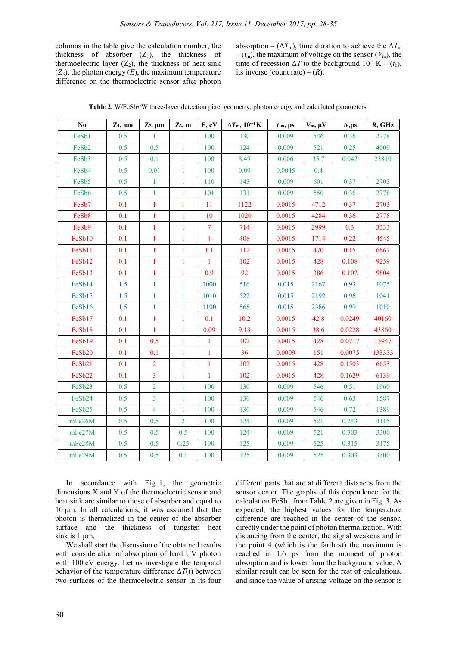columns in the table give the calculation number, the thickness of absorber  $(Z_1)$ , the thickness of thermoelectric layer  $(Z_2)$ , the thickness of heat sink  $(Z_3)$ , the photon energy  $(E)$ , the maximum temperature difference on the thermoelectric sensor after photon absorption – ( $\Delta T_{\text{m}}$ ), time duration to achieve the  $\Delta T_{\text{m}}$  $-(t_m)$ , the maximum of voltage on the sensor  $(V_m)$ , the time of recession  $\Delta T$  to the background  $10^{-4}$  K – ( $t_b$ ), its inverse (count rate) –  $(R)$ .

| N <sub>0</sub>     | $Z_1$ , $\mu$ m | $Z_2$ , $\mu$ m | $Z_3$ , m      | E, eV          | $\Delta T$ m, $10^{-4}$ K | $tm$ , ps | $V_m$ , $\mu V$ | $t_{\rm b,PS}$ | $R$ , GHz |
|--------------------|-----------------|-----------------|----------------|----------------|---------------------------|-----------|-----------------|----------------|-----------|
| FeSb1              | 0.5             | 1               | 1              | 100            | 130                       | 0.009     | 546             | 0.36           | 2778      |
| FeSb2              | 0.5             | 0.5             | $\mathbf{1}$   | 100            | 124                       | 0.009     | 521             | 0.25           | 4000      |
| FeSb3              | 0.5             | 0.1             | $\mathbf{1}$   | 100            | 8.49                      | 0.006     | 35.7            | 0.042          | 23810     |
| FeSb <sub>4</sub>  | 0.5             | 0.01            | $\mathbf{1}$   | 100            | 0.09                      | 0.0045    | 0.4             |                |           |
| FeSb5              | 0.5             | $\mathbf{1}$    | 1              | 110            | 143                       | 0.009     | 601             | 0.37           | 2703      |
| FeSb6              | 0.5             | $\mathbf{1}$    | $\mathbf{1}$   | 101            | 131                       | 0.009     | 550             | 0.36           | 2778      |
| FeSb7              | 0.1             | $\mathbf{1}$    | $\mathbf{1}$   | 11             | 1122                      | 0.0015    | 4712            | 0.37           | 2703      |
| FeSb8              | 0.1             | $\mathbf{1}$    | $\mathbf{1}$   | 10             | 1020                      | 0.0015    | 4284            | 0.36           | 2778      |
| FeSb9              | 0.1             | $\mathbf{1}$    | $\mathbf{1}$   | $\tau$         | 714                       | 0.0015    | 2999            | 0.3            | 3333      |
| FeSb10             | 0.1             | $\mathbf{1}$    | $\mathbf{1}$   | $\overline{4}$ | 408                       | 0.0015    | 1714            | 0.22           | 4545      |
| FeSb11             | 0.1             | $\mathbf{1}$    | $\mathbf{1}$   | 1.1            | 112                       | 0.0015    | 470             | 0.15           | 6667      |
| FeSb12             | 0.1             | $\mathbf{1}$    | $\mathbf{1}$   | $\mathbf{1}$   | 102                       | 0.0015    | 428             | 0.108          | 9259      |
| FeSb13             | 0.1             | $\mathbf{1}$    | $\mathbf{1}$   | 0.9            | 92                        | 0.0015    | 386             | 0.102          | 9804      |
| FeSb14             | 1.5             | $\mathbf{1}$    | $\mathbf{1}$   | 1000           | 516                       | 0.015     | 2167            | 0.93           | 1075      |
| FeSb15             | 1.5             | $\mathbf{1}$    | $\mathbf{1}$   | 1010           | 522                       | 0.015     | 2192            | 0.96           | 1041      |
| FeSb16             | 1.5             | $\mathbf{1}$    | $\mathbf{1}$   | 1100           | 568                       | 0.015     | 2386            | 0.99           | 1010      |
| FeSb17             | 0.1             | $\mathbf{1}$    | $\mathbf{1}$   | 0.1            | 10.2                      | 0.0015    | 42.8            | 0.0249         | 40160     |
| FeSb18             | 0.1             | $\mathbf{1}$    | $\mathbf{1}$   | 0.09           | 9.18                      | 0.0015    | 38.6            | 0.0228         | 43860     |
| FeSb19             | 0.1             | 0.5             | $\mathbf{1}$   | $\mathbf{1}$   | 102                       | 0.0015    | 428             | 0.0717         | 13947     |
| FeSb20             | 0.1             | 0.1             | $\mathbf{1}$   | 1              | 36                        | 0.0009    | 151             | 0.0075         | 133333    |
| FeSb21             | 0.1             | $\overline{2}$  | $\mathbf{1}$   | $\mathbf{1}$   | 102                       | 0.0015    | 428             | 0.1503         | 6653      |
| FeSb22             | 0.1             | $\overline{3}$  | $\mathbf{1}$   | $\mathbf{1}$   | 102                       | 0.0015    | 428             | 0.1629         | 6139      |
| FeSb23             | 0.5             | $\overline{2}$  | $\mathbf{1}$   | 100            | 130                       | 0.009     | 546             | 0.51           | 1960      |
| FeSb <sub>24</sub> | 0.5             | $\overline{3}$  | $\mathbf{1}$   | 100            | 130                       | 0.009     | 546             | 0.63           | 1587      |
| FeSb25             | 0.5             | $\overline{4}$  | $\mathbf{1}$   | 100            | 130                       | 0.009     | 546             | 0.72           | 1389      |
| mFe26M             | 0.5             | 0.5             | $\overline{2}$ | 100            | 124                       | 0.009     | 521             | 0.243          | 4115      |
| mFe27M             | 0.5             | 0.5             | 0.5            | 100            | 124                       | 0.009     | 521             | 0.303          | 3300      |
| mFe28M             | 0.5             | 0.5             | 0.25           | 100            | 125                       | 0.009     | 525             | 0.315          | 3175      |
| mFe29M             | 0.5             | 0.5             | 0.1            | 100            | 125                       | 0.009     | 525             | 0.303          | 3300      |

Table 2. W/FeSb<sub>2</sub>/W three-layer detection pixel geometry, photon energy and calculated parameters.

In accordance with Fig. 1, the geometric dimensions X and Y of the thermoelectric sensor and heat sink are similar to those of absorber and equal to 10 μm. In all calculations, it was assumed that the photon is thermalized in the center of the absorber surface and the thickness of tungsten heat sink is 1  $\mu$ m.

We shall start the discussion of the obtained results with consideration of absorption of hard UV photon with 100 eV energy. Let us investigate the temporal behavior of the temperature difference  $\Delta T(t)$  between two surfaces of the thermoelectric sensor in its four different parts that are at different distances from the sensor center. The graphs of this dependence for the calculation FeSb1 from Table 2 are given in Fig. 3. As expected, the highest values for the temperature difference are reached in the center of the sensor, directly under the point of photon thermalization. With distancing from the center, the signal weakens and in the point 4 (which is the farthest) the maximum is reached in 1.6 ps from the moment of photon absorption and is lower from the background value. A similar result can be seen for the rest of calculations, and since the value of arising voltage on the sensor is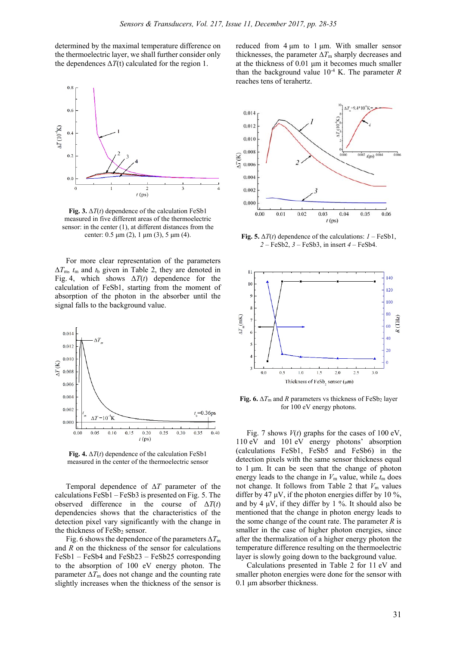determined by the maximal temperature difference on the thermoelectric layer, we shall further consider only the dependences  $\Delta T(t)$  calculated for the region 1.



**Fig. 3.**  $\Delta T(t)$  dependence of the calculation FeSb1 measured in five different areas of the thermoelectric sensor: in the center (1), at different distances from the center:  $0.5 \mu m$  (2), 1  $\mu m$  (3), 5  $\mu m$  (4).

For more clear representation of the parameters ∆*T*m, *t*m and *t*b given in Table 2, they are denoted in Fig. 4, which shows  $\Delta T(t)$  dependence for the calculation of FeSb1, starting from the moment of absorption of the photon in the absorber until the signal falls to the background value.



**Fig. 4.**  $\Delta T(t)$  dependence of the calculation FeSb1 measured in the center of the thermoelectric sensor

Temporal dependence of ∆*T* parameter of the calculations FeSb1 – FeSb3 is presented on Fig. 5. The observed difference in the course of  $\Delta T(t)$ dependencies shows that the characteristics of the detection pixel vary significantly with the change in the thickness of FeSb<sub>2</sub> sensor.

Fig. 6 shows the dependence of the parameters ∆*T*<sup>m</sup> and *R* on the thickness of the sensor for calculations FeSb1 – FeSb4 and FeSb23 – FeSb25 corresponding to the absorption of 100 eV energy photon. The parameter  $\Delta T_{\text{m}}$  does not change and the counting rate slightly increases when the thickness of the sensor is

reduced from  $4 \mu m$  to  $1 \mu m$ . With smaller sensor thicknesses, the parameter  $\Delta T$ <sub>m</sub> sharply decreases and at the thickness of 0.01 μm it becomes much smaller than the background value  $10^{-4}$  K. The parameter *R* reaches tens of terahertz.



**Fig. 5.**  $\Delta T(t)$  dependence of the calculations:  $I - \text{FeSb1}$ , *2* – FeSb2, *3* – FeSb3, in insert *4* – FeSb4.



**Fig. 6.**  $\Delta T_m$  and *R* parameters vs thickness of FeSb2 layer for 100 eV energy photons.

Fig. 7 shows  $V(t)$  graphs for the cases of 100 eV, 110 eV and 101 eV energy photons' absorption (calculations FeSb1, FeSb5 and FeSb6) in the detection pixels with the same sensor thickness equal to 1 μm. It can be seen that the change of photon energy leads to the change in  $V_m$  value, while  $t_m$  does not change. It follows from Table 2 that  $V<sub>m</sub>$  values differ by 47  $\mu$ V, if the photon energies differ by 10 %, and by 4  $\mu$ V, if they differ by 1 %. It should also be mentioned that the change in photon energy leads to the some change of the count rate. The parameter *R* is smaller in the case of higher photon energies, since after the thermalization of a higher energy photon the temperature difference resulting on the thermoelectric layer is slowly going down to the background value.

Calculations presented in Table 2 for 11 eV and smaller photon energies were done for the sensor with 0.1 μm absorber thickness.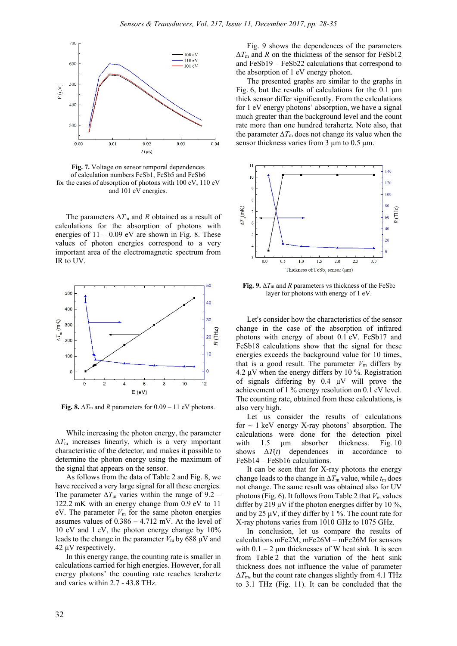

**Fig. 7.** Voltage on sensor temporal dependences of calculation numbers FeSb1, FeSb5 and FeSb6 for the cases of absorption of photons with 100 eV, 110 eV and 101 eV energies.

The parameters  $\Delta T_m$  and *R* obtained as a result of calculations for the absorption of photons with energies of  $11 - 0.09$  eV are shown in Fig. 8. These values of photon energies correspond to a very important area of the electromagnetic spectrum from IR to UV.



**Fig. 8.**  $\Delta T_m$  and *R* parameters for 0.09 – 11 eV photons.

While increasing the photon energy, the parameter ∆*T*m increases linearly, which is a very important characteristic of the detector, and makes it possible to determine the photon energy using the maximum of the signal that appears on the sensor.

As follows from the data of Table 2 and Fig. 8, we have received a very large signal for all these energies. The parameter  $\Delta T_{\text{m}}$  varies within the range of 9.2 – 122.2 mK with an energy change from 0.9 eV to 11 eV. The parameter  $V_m$  for the same photon energies assumes values of 0.386 – 4.712 mV. At the level of 10 eV and 1 eV, the photon energy change by 10% leads to the change in the parameter  $V_m$  by 688  $\mu$ V and 42 μV respectively.

In this energy range, the counting rate is smaller in calculations carried for high energies. However, for all energy photons' the counting rate reaches terahertz and varies within 2.7 - 43.8 THz.

Fig. 9 shows the dependences of the parameters ∆*T*m and *R* on the thickness of the sensor for FeSb12 and FeSb19 – FeSb22 calculations that correspond to the absorption of 1 eV energy photon.

The presented graphs are similar to the graphs in Fig. 6, but the results of calculations for the 0.1 μm thick sensor differ significantly. From the calculations for 1 eV energy photons' absorption, we have a signal much greater than the background level and the count rate more than one hundred terahertz. Note also, that the parameter  $\Delta T_{\text{m}}$  does not change its value when the sensor thickness varies from 3 μm to 0.5 μm.



**Fig. 9.**  $\Delta T_{\text{m}}$  and *R* parameters vs thickness of the FeSb<sub>2</sub> layer for photons with energy of 1 eV.

Let's consider how the characteristics of the sensor change in the case of the absorption of infrared photons with energy of about 0.1 eV. FeSb17 and FeSb18 calculations show that the signal for these energies exceeds the background value for 10 times, that is a good result. The parameter  $V<sub>m</sub>$  differs by 4.2  $\mu$ V when the energy differs by 10 %. Registration of signals differing by 0.4 μV will prove the achievement of 1 % energy resolution on 0.1 eV level. The counting rate, obtained from these calculations, is also very high.

Let us consider the results of calculations for  $\sim$  1 keV energy X-ray photons' absorption. The calculations were done for the detection pixel with 1.5 um absorber thickness. Fig. 10 shows  $\Delta T(t)$  dependences in accordance to FeSb14 – FeSb16 calculations.

It can be seen that for X-ray photons the energy change leads to the change in  $\Delta T_m$  value, while  $t_m$  does not change. The same result was obtained also for UV photons (Fig. 6). It follows from Table 2 that  $V<sub>m</sub>$  values differ by 219  $\mu$ V if the photon energies differ by 10 %, and by 25  $\mu$ V, if they differ by 1 %. The count rate for X-ray photons varies from 1010 GHz to 1075 GHz.

In conclusion, let us compare the results of calculations mFe2M, mFe26M – mFe26M for sensors with  $0.1 - 2$  μm thicknesses of W heat sink. It is seen from Table 2 that the variation of the heat sink thickness does not influence the value of parameter  $\Delta T_{\text{m}}$ , but the count rate changes slightly from 4.1 THz to 3.1 THz (Fig. 11). It can be concluded that the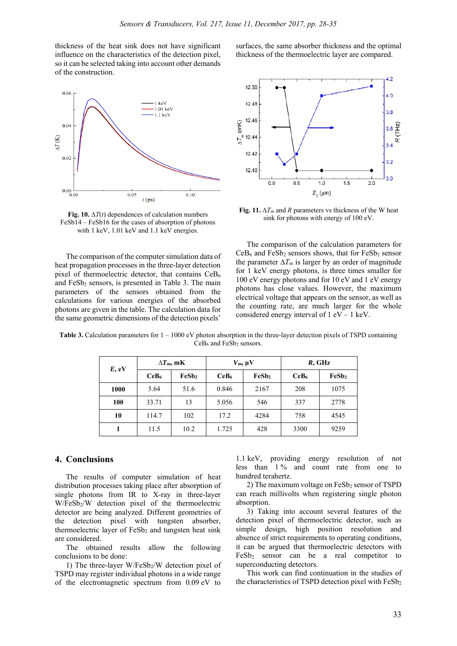thickness of the heat sink does not have significant influence on the characteristics of the detection pixel, so it can be selected taking into account other demands of the construction.



Fig. 10.  $\Delta T(t)$  dependences of calculation numbers FeSb14 – FeSb16 for the cases of absorption of photons with 1 keV,  $1.01$  keV and  $1.1$  keV energies.

The comparison of the computer simulation data of heat propagation processes in the three-layer detection pixel of thermoelectric detector, that contains CeB<sub>6</sub> and  $FeSb<sub>2</sub>$  sensors, is presented in Table 3. The main parameters of the sensors obtained from the calculations for various energies of the absorbed photons are given in the table. The calculation data for the same geometric dimensions of the detection pixels'

surfaces, the same absorber thickness and the optimal thickness of the thermoelectric layer are compared.



**Fig. 11.**  $\Delta T_m$  and *R* parameters vs thickness of the W heat sink for photons with energy of 100 eV.

The comparison of the calculation parameters for  $CeB<sub>6</sub>$  and FeSb<sub>2</sub> sensors shows, that for FeSb<sub>2</sub> sensor the parameter  $\Delta T_m$  is larger by an order of magnitude for 1 keV energy photons, is three times smaller for 100 eV energy photons and for 10 eV and 1 eV energy photons has close values. However, the maximum electrical voltage that appears on the sensor, as well as the counting rate, are much larger for the whole considered energy interval of  $1 \text{ eV} - 1 \text{ keV}$ .

| E, eV | $\Delta T_{\rm m}$ , mK |       | $V_{\rm m}$ , $\mu$ V |       | $R$ , GHz        |       |
|-------|-------------------------|-------|-----------------------|-------|------------------|-------|
|       | CeB <sub>6</sub>        | FeSb2 | CeB <sub>6</sub>      | FeSb2 | CeB <sub>6</sub> | FeSb2 |
| 1000  | 5.64                    | 51.6  | 0.846                 | 2167  | 208              | 1075  |
| 100   | 33.71                   | 13    | 5.056                 | 546   | 337              | 2778  |
| 10    | 114.7                   | 102   | 17.2                  | 4284  | 758              | 4545  |
|       | 11.5                    | 10.2  | 1.725                 | 428   | 3300             | 9259  |

**Table 3.** Calculation parameters for  $1 - 1000$  eV photon absorption in the three-layer detection pixels of TSPD containing  $CeB<sub>6</sub>$  and  $FeSb<sub>2</sub>$  sensors.

#### **4. Conclusions**

The results of computer simulation of heat distribution processes taking place after absorption of single photons from IR to X-ray in three-layer W/FeSb<sub>2</sub>/W detection pixel of the thermoelectric detector are being analyzed. Different geometries of the detection pixel with tungsten absorber, thermoelectric layer of  $FeSb<sub>2</sub>$  and tungsten heat sink are considered.

The obtained results allow the following conclusions to be done:

1) The three-layer W/FeSb2/W detection pixel of TSPD may register individual photons in a wide range of the electromagnetic spectrum from 0.09 eV to

1.1 keV, providing energy resolution of not less than 1 % and count rate from one to hundred terahertz.

2) The maximum voltage on FeSb<sub>2</sub> sensor of TSPD can reach millivolts when registering single photon absorption.

3) Taking into account several features of the detection pixel of thermoelectric detector, such as simple design, high position resolution and absence of strict requirements to operating conditions, it can be argued that thermoelectric detectors with FeSb2 sensor can be a real competitor to superconducting detectors.

This work can find continuation in the studies of the characteristics of TSPD detection pixel with  $FeSb<sub>2</sub>$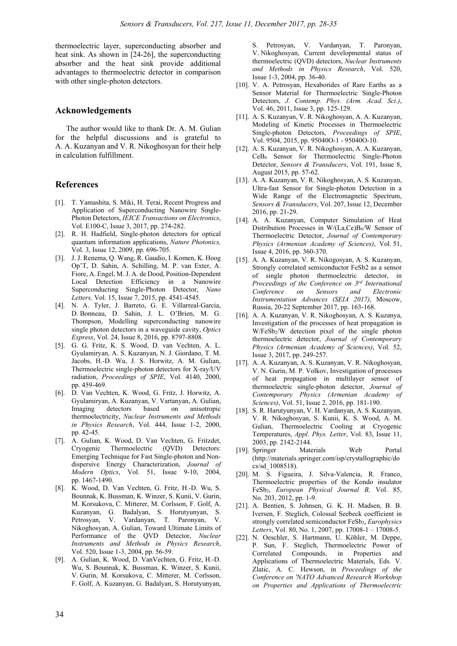thermoelectric layer, superconducting absorber and heat sink. As shown in [24-26], the superconducting absorber and the heat sink provide additional advantages to thermoelectric detector in comparison with other single-photon detectors.

#### **Acknowledgements**

The author would like to thank Dr. A. M. Gulian for the helpful discussions and is grateful to A. A. Kuzanyan and V. R. Nikoghosyan for their help in calculation fulfillment.

#### **References**

- [1]. T. Yamashita, S. Miki, H. Terai, Recent Progress and Application of Superconducting Nanowire Single-Photon Detectors, *IEICE Transactions on Electronics*, Vol. E100-C, Issue 3, 2017, pp. 274-282.
- [2]. R. H. Hadfield, Single-photon detectors for optical quantum information applications, *Nature Photonics,*  Vol. 3, Issue 12, 2009, pp. 696-705.
- [3]. J. J. Renema, Q. Wang, R. Gaudio, I. Komen, K. Hoog Op'T, D. Sahin, A. Schilling, M. P. van Exter, A. Fiore, A. Engel, M. J. A. de Dood, Position-Dependent Local Detection Efficiency in a Nanowire Superconducting Single-Photon Detector, *Nano Letters,* Vol. 15, Issue 7, 2015, pp. 4541-4545.
- [4]. N. A. Tyler, J. Barreto, G. E. Villarreal-Garcia, D. Bonneau, D. Sahin, J. L. O'Brien, M. G. Thompson, Modelling superconducting nanowire single photon detectors in a waveguide cavity, *Optics Express*, Vol. 24, Issue 8, 2016, pp. 8797-8808.
- [5]. G. G. Fritz, K. S. Wood, D. van Vechten, A. L. Gyulamiryan, A. S. Kuzanyan, N. J. Giordano, T. M. Jacobs, H.-D. Wu, J. S. Horwitz, A. M. Gulian, Thermoelectric single-photon detectors for X-ray/UV radiation, *Proceedings of SPIE*, Vol. 4140, 2000, pp. 459-469.
- [6]. D. Van Vechten, K. Wood, G. Fritz, J. Horwitz, A. Gyulamiryan, A. Kuzanyan, V. Vartanyan, A. Gulian, Imaging detectors based on anisotropic thermoelectricity, *Nuclear Instruments and Methods in Physics Research*, Vol. 444, Issue 1-2, 2000, pp. 42-45.
- [7]. A. Gulian, K. Wood, D. Van Vechten, G. Fritzdet, Cryogenic Thermoelectric (QVD) Detectors: Emerging Technique for Fast Single-photon and Nondispersive Energy Characterization, *Journal of Modern Optics*, Vol. 51, Issue 9-10, 2004, pp. 1467-1490.
- [8]. K. Wood, D. Van Vechten, G. Fritz, H.-D. Wu, S. Bounnak, K. Bussman, K. Winzer, S. Kunii, V. Gurin, M. Korsukova, C. Mitterer, M. Corlsson, F. Golf, A. Kuzanyan, G. Badalyan, S. Horutyunyan, S. Petrosyan, V. Vardanyan, T. Paronyan, V. Nikoghosyan, A. Gulian, Toward Ultimate Limits of Performance of the QVD Detector, *Nuclear Instruments and Methods in Physics Research*, Vol. 520, Issue 1-3, 2004, pp. 56-59.
- [9]. A. Gulian, K. Wood, D. VanVechten, G. Fritz, H.-D. Wu, S. Bounnak, K. Bussman, K. Winzer, S. Kunii, V. Gurin, M. Korsukova, C. Mitterer, M. Corlsson, F. Golf, A. Kuzanyan, G. Badalyan, S. Horutyunyan,

S. Petrosyan, V. Vardanyan, T. Paronyan, V. Nikoghosyan, Current developmental status of thermoelectric (QVD) detectors, *Nuclear Instruments and Methods in Physics Research*, Vol. 520, Issue 1-3, 2004, pp. 36-40.

- [10]. V. A. Petrosyan, Hexaborides of Rare Earths as a Sensor Material for Thermoelectric Single-Photon Detectors, *J. Contemp. Phys. (Arm. Acad. Sci.)*, Vol. 46, 2011, Issue 3, pp. 125-129.
- [11]. A. S. Kuzanyan, V. R. Nikoghosyan, A. A. Kuzanyan, Modeling of Kinetic Processes in Thermoelectric Single-photon Detectors, *Proceedings of SPIE*, Vol. 9504, 2015, pp. 95040O-1 - 95040O-10.
- [12]. A. S. Kuzanyan, V. R. Nikoghosyan, A. A. Kuzanyan, CeB6 Sensor for Thermoelectric Single-Photon Detector, *Sensors & Transducers*, Vol. 191, Issue 8, August 2015, pp. 57-62.
- [13]. A. A. Kuzanyan, V. R. Nikoghosyan, A. S. Kuzanyan, Ultra-fast Sensor for Single-photon Detection in a Wide Range of the Electromagnetic Spectrum, *Sensors & Transducers*, Vol. 207, Issue 12, December 2016, pp. 21-29.
- [14]. A. A. Kuzanyan, Computer Simulation of Heat Distribution Processes in W/(La,Ce)B6/W Sensor of Thermoelectric Detector, *Journal of Contemporary Physics (Armenian Academy of Sciences)*, Vol. 51, Issue 4, 2016, pp. 360-370.
- [15]. A. A. Kuzanyan, V. R. Nikogosyan, A. S. Kuzanyan, Strongly correlated semiconductor FeSb2 as a sensor of single photon thermoelectric detector, in *Proceedings of the Conference on 3rd International Conference on Sensors Instrumentation Advances (SEIA 2017)*, Moscow, Russia, 20-22 September 2017, pp. 163-168.
- [16]. A. A. Kuzanyan, V. R. Nikoghosyan, A. S. Kuzanya, Investigation of the processes of heat propagation in W/FeSb2/W detection pixel of the single photon thermoelectric detector, *Journal of Contemporary Physics (Armenian Academy of Sciences)*, Vol. 52, Issue 3, 2017, pp. 249-257.
- [17]. A. A. Kuzanyan, A. S. Kuzanyan, V. R. Nikoghosyan, V. N. Gurin, M. P. Volkov, Investigation of processes of heat propagation in multilayer sensor of thermoelectric single-photon detector, *Journal of Contemporary Physics (Armenian Academy of Sciences)*, Vol. 51, Issue 2, 2016, pp. 181-190.
- [18]. S. R. Harutyunyan, V. H. Vardanyan, A. S. Kuzanyan, V. R. Nikoghosyan, S. Kunii, K. S. Wood, A. M. Gulian, Thermoelectric Cooling at Cryogenic Temperatures, *Appl. Phys. Letter*, Vol. 83, Issue 11, 2003, pp. 2142-2144.
- [19]. Springer Materials Web Portal (http://materials.springer.com/isp/crystallographic/do cs/sd\_1008518).
- [20]. M. S. Figueira, J. Silva-Valencia, R. Franco, Thermoelectric properties of the Kondo insulator FeSb2, *European Physical Journal B,* Vol. 85, No. 203, 2012, pp. 1-9.
- [21]. A. Bentien, S. Johnsen, G. K. H. Madsen, B. B. Iversen, F. Steglich, Colossal Seebeck coefficient in strongly correlated semiconductor FeSb2, *Europhysics Letters*, Vol. 80, No. 1, 2007, pp. 17008-1 – 17008-5.
- [22]. N. Oeschler, S. Hartmann, U. Köhler, M. Deppe, P. Sun, F. Steglich, Thermoelectric Power of Correlated Compounds, in Properties and Applications of Thermoelectric Materials, Eds. V. Zlatic, A. C. Hewson, in *Proceedings of the Conference on 'NATO Advanced Research Workshop on Properties and Applications of Thermoelectric*